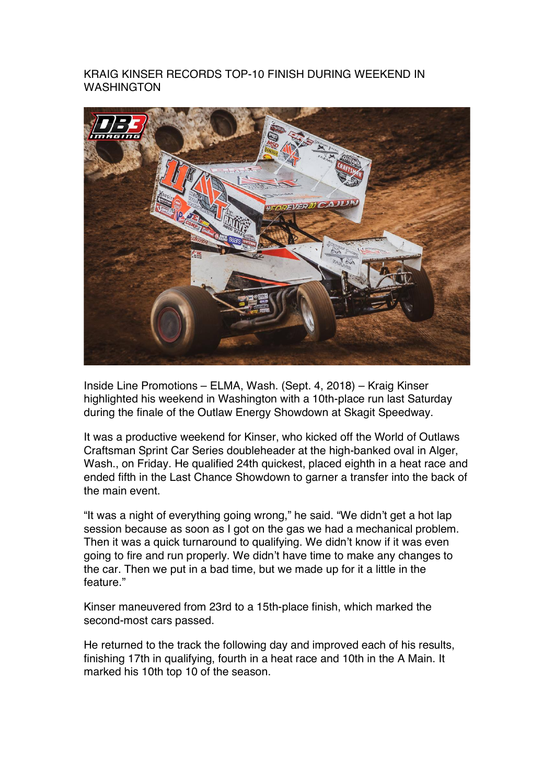## KRAIG KINSER RECORDS TOP-10 FINISH DURING WEEKEND IN WASHINGTON



Inside Line Promotions – ELMA, Wash. (Sept. 4, 2018) – Kraig Kinser highlighted his weekend in Washington with a 10th-place run last Saturday during the finale of the Outlaw Energy Showdown at Skagit Speedway.

It was a productive weekend for Kinser, who kicked off the World of Outlaws Craftsman Sprint Car Series doubleheader at the high-banked oval in Alger, Wash., on Friday. He qualified 24th quickest, placed eighth in a heat race and ended fifth in the Last Chance Showdown to garner a transfer into the back of the main event.

"It was a night of everything going wrong," he said. "We didn't get a hot lap session because as soon as I got on the gas we had a mechanical problem. Then it was a quick turnaround to qualifying. We didn't know if it was even going to fire and run properly. We didn't have time to make any changes to the car. Then we put in a bad time, but we made up for it a little in the feature."

Kinser maneuvered from 23rd to a 15th-place finish, which marked the second-most cars passed.

He returned to the track the following day and improved each of his results, finishing 17th in qualifying, fourth in a heat race and 10th in the A Main. It marked his 10th top 10 of the season.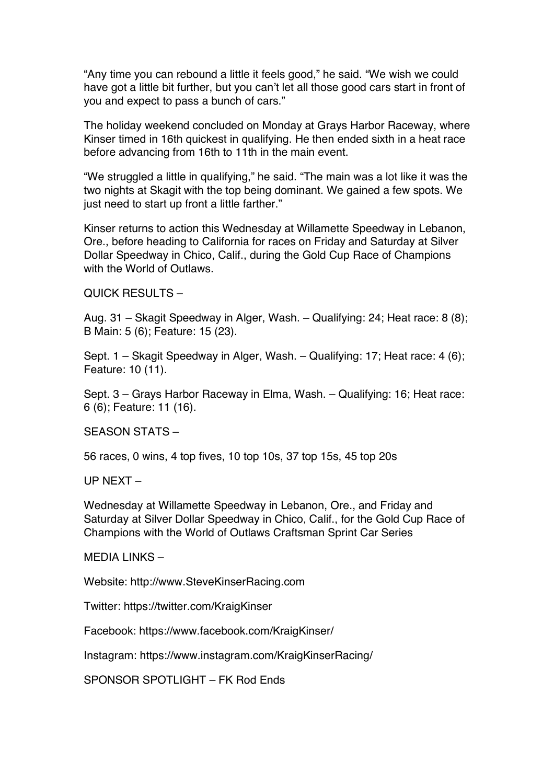"Any time you can rebound a little it feels good," he said. "We wish we could have got a little bit further, but you can't let all those good cars start in front of you and expect to pass a bunch of cars."

The holiday weekend concluded on Monday at Grays Harbor Raceway, where Kinser timed in 16th quickest in qualifying. He then ended sixth in a heat race before advancing from 16th to 11th in the main event.

"We struggled a little in qualifying," he said. "The main was a lot like it was the two nights at Skagit with the top being dominant. We gained a few spots. We just need to start up front a little farther."

Kinser returns to action this Wednesday at Willamette Speedway in Lebanon, Ore., before heading to California for races on Friday and Saturday at Silver Dollar Speedway in Chico, Calif., during the Gold Cup Race of Champions with the World of Outlaws.

QUICK RESULTS –

Aug. 31 – Skagit Speedway in Alger, Wash. – Qualifying: 24; Heat race: 8 (8); B Main: 5 (6); Feature: 15 (23).

Sept. 1 – Skagit Speedway in Alger, Wash. – Qualifying: 17; Heat race: 4 (6); Feature: 10 (11).

Sept. 3 – Grays Harbor Raceway in Elma, Wash. – Qualifying: 16; Heat race: 6 (6); Feature: 11 (16).

SEASON STATS –

56 races, 0 wins, 4 top fives, 10 top 10s, 37 top 15s, 45 top 20s

UP NEXT –

Wednesday at Willamette Speedway in Lebanon, Ore., and Friday and Saturday at Silver Dollar Speedway in Chico, Calif., for the Gold Cup Race of Champions with the World of Outlaws Craftsman Sprint Car Series

 $MFDIA$  LINKS  $-$ 

Website: http://www.SteveKinserRacing.com

Twitter: https://twitter.com/KraigKinser

Facebook: https://www.facebook.com/KraigKinser/

Instagram: https://www.instagram.com/KraigKinserRacing/

SPONSOR SPOTLIGHT – FK Rod Ends